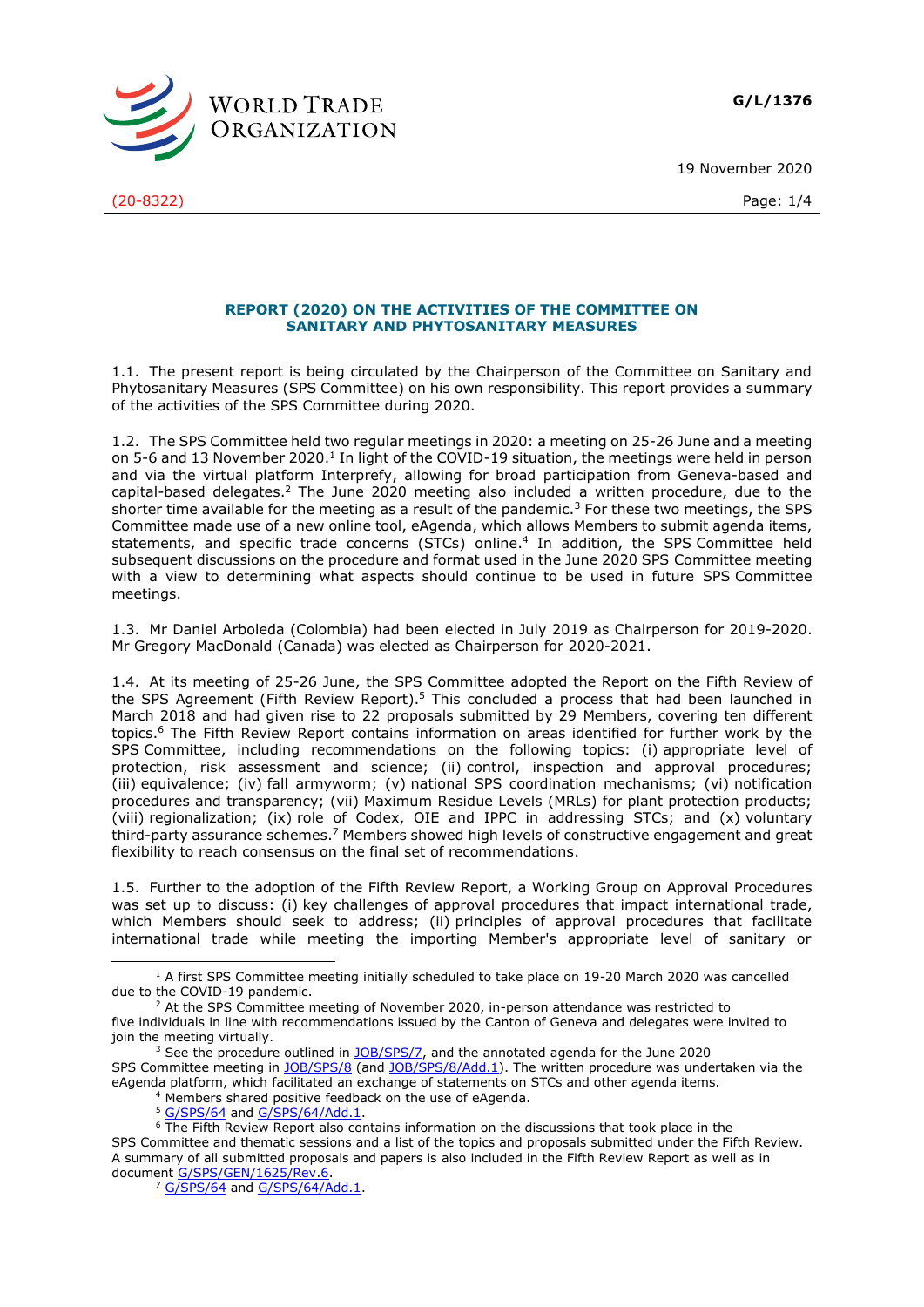**G/L/1376**

19 November 2020





## **REPORT (2020) ON THE ACTIVITIES OF THE COMMITTEE ON SANITARY AND PHYTOSANITARY MEASURES**

1.1. The present report is being circulated by the Chairperson of the Committee on Sanitary and Phytosanitary Measures (SPS Committee) on his own responsibility. This report provides a summary of the activities of the SPS Committee during 2020.

1.2. The SPS Committee held two regular meetings in 2020: a meeting on 25-26 June and a meeting on 5-6 and 13 November 2020.<sup>1</sup> In light of the COVID-19 situation, the meetings were held in person and via the virtual platform Interprefy, allowing for broad participation from Geneva-based and capital-based delegates. <sup>2</sup> The June 2020 meeting also included a written procedure, due to the shorter time available for the meeting as a result of the pandemic.<sup>3</sup> For these two meetings, the SPS Committee made use of a new online tool, eAgenda, which allows Members to submit agenda items, statements, and specific trade concerns (STCs) online. 4 In addition, the SPS Committee held subsequent discussions on the procedure and format used in the June 2020 SPS Committee meeting with a view to determining what aspects should continue to be used in future SPS Committee meetings.

1.3. Mr Daniel Arboleda (Colombia) had been elected in July 2019 as Chairperson for 2019-2020. Mr Gregory MacDonald (Canada) was elected as Chairperson for 2020-2021.

1.4. At its meeting of 25-26 June, the SPS Committee adopted the Report on the Fifth Review of the SPS Agreement (Fifth Review Report).<sup>5</sup> This concluded a process that had been launched in March 2018 and had given rise to 22 proposals submitted by 29 Members, covering ten different topics.<sup>6</sup> The Fifth Review Report contains information on areas identified for further work by the SPS Committee, including recommendations on the following topics: (i) appropriate level of protection, risk assessment and science; (ii) control, inspection and approval procedures; (iii) equivalence; (iv) fall armyworm; (v) national SPS coordination mechanisms; (vi) notification procedures and transparency; (vii) Maximum Residue Levels (MRLs) for plant protection products; (viii) regionalization; (ix) role of Codex, OIE and IPPC in addressing STCs; and (x) voluntary third-party assurance schemes.<sup>7</sup> Members showed high levels of constructive engagement and great flexibility to reach consensus on the final set of recommendations.

1.5. Further to the adoption of the Fifth Review Report, a Working Group on Approval Procedures was set up to discuss: (i) key challenges of approval procedures that impact international trade, which Members should seek to address; (ii) principles of approval procedures that facilitate international trade while meeting the importing Member's appropriate level of sanitary or

<sup>&</sup>lt;sup>1</sup> A first SPS Committee meeting initially scheduled to take place on 19-20 March 2020 was cancelled due to the COVID-19 pandemic.

 $2$  At the SPS Committee meeting of November 2020, in-person attendance was restricted to five individuals in line with recommendations issued by the Canton of Geneva and delegates were invited to join the meeting virtually.

<sup>&</sup>lt;sup>3</sup> See the procedure outlined in **JOB/SPS/7**, and the annotated agenda for the June 2020 SPS Committee meeting in [JOB/SPS/8](https://docs.wto.org/dol2fe/Pages/FE_Search/FE_S_S006.aspx?DataSource=Cat&query=@Symbol=%22JOB/SPS/8%22%20OR%20@Symbol=%22JOB/SPS/8/*%22&Language=English&Context=ScriptedSearches&languageUIChanged=true) (and [JOB/SPS/8/Add.1\)](https://docs.wto.org/dol2fe/Pages/FE_Search/FE_S_S006.aspx?DataSource=Cat&query=@Symbol=%22JOB/SPS/8/Add.1)%22%20OR%20@Symbol=%22JOB/SPS/8/Add.1)/*%22&Language=English&Context=ScriptedSearches&languageUIChanged=true). The written procedure was undertaken via the eAgenda platform, which facilitated an exchange of statements on STCs and other agenda items.

<sup>4</sup> Members shared positive feedback on the use of eAgenda.

<sup>5</sup> [G/SPS/64](https://docs.wto.org/dol2fe/Pages/FE_Search/FE_S_S006.aspx?DataSource=Cat&query=@Symbol=%22G/SPS/64%22%20OR%20@Symbol=%22G/SPS/64/*%22&Language=English&Context=ScriptedSearches&languageUIChanged=true) and [G/SPS/64/Add.1.](https://docs.wto.org/dol2fe/Pages/FE_Search/FE_S_S006.aspx?DataSource=Cat&query=@Symbol=%22G/SPS/64/Add.1%22%20OR%20@Symbol=%22G/SPS/64/Add.1/*%22&Language=English&Context=ScriptedSearches&languageUIChanged=true)

<sup>&</sup>lt;sup>6</sup> The Fifth Review Report also contains information on the discussions that took place in the SPS Committee and thematic sessions and a list of the topics and proposals submitted under the Fifth Review. A summary of all submitted proposals and papers is also included in the Fifth Review Report as well as in document [G/SPS/GEN/1625/Rev.6.](https://docs.wto.org/dol2fe/Pages/FE_Search/FE_S_S006.aspx?DataSource=Cat&query=@Symbol=%22G/SPS/GEN/1625/Rev.6%22%20OR%20@Symbol=%22G/SPS/GEN/1625/Rev.6/*%22&Language=English&Context=ScriptedSearches&languageUIChanged=true)

<sup>&</sup>lt;sup>7</sup> [G/SPS/64](https://docs.wto.org/dol2fe/Pages/FE_Search/FE_S_S006.aspx?DataSource=Cat&query=@Symbol=%22G/SPS/64%22%20OR%20@Symbol=%22G/SPS/64/*%22&Language=English&Context=ScriptedSearches&languageUIChanged=true) and [G/SPS/64/Add.1.](https://docs.wto.org/dol2fe/Pages/FE_Search/FE_S_S006.aspx?DataSource=Cat&query=@Symbol=%22G/SPS/64/Add.1%22%20OR%20@Symbol=%22G/SPS/64/Add.1/*%22&Language=English&Context=ScriptedSearches&languageUIChanged=true)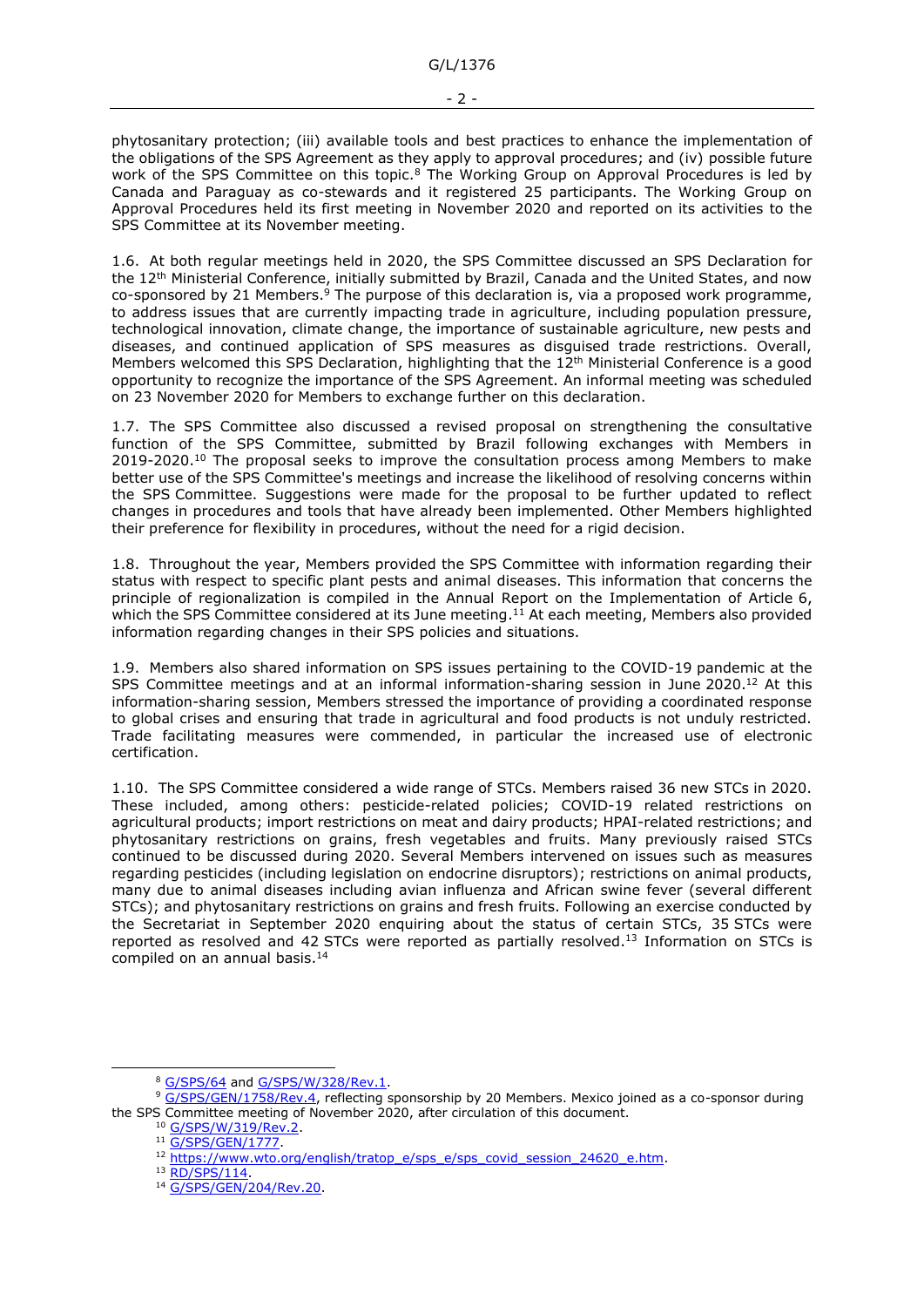phytosanitary protection; (iii) available tools and best practices to enhance the implementation of the obligations of the SPS Agreement as they apply to approval procedures; and (iv) possible future work of the SPS Committee on this topic.<sup>8</sup> The Working Group on Approval Procedures is led by Canada and Paraguay as co-stewards and it registered 25 participants. The Working Group on Approval Procedures held its first meeting in November 2020 and reported on its activities to the SPS Committee at its November meeting.

1.6. At both regular meetings held in 2020, the SPS Committee discussed an SPS Declaration for the 12<sup>th</sup> Ministerial Conference, initially submitted by Brazil, Canada and the United States, and now co-sponsored by 21 Members.<sup>9</sup> The purpose of this declaration is, via a proposed work programme, to address issues that are currently impacting trade in agriculture, including population pressure, technological innovation, climate change, the importance of sustainable agriculture, new pests and diseases, and continued application of SPS measures as disguised trade restrictions. Overall, Members welcomed this SPS Declaration, highlighting that the 12<sup>th</sup> Ministerial Conference is a good opportunity to recognize the importance of the SPS Agreement. An informal meeting was scheduled on 23 November 2020 for Members to exchange further on this declaration.

1.7. The SPS Committee also discussed a revised proposal on strengthening the consultative function of the SPS Committee, submitted by Brazil following exchanges with Members in 2019-2020.<sup>10</sup> The proposal seeks to improve the consultation process among Members to make better use of the SPS Committee's meetings and increase the likelihood of resolving concerns within the SPS Committee. Suggestions were made for the proposal to be further updated to reflect changes in procedures and tools that have already been implemented. Other Members highlighted their preference for flexibility in procedures, without the need for a rigid decision.

1.8. Throughout the year, Members provided the SPS Committee with information regarding their status with respect to specific plant pests and animal diseases. This information that concerns the principle of regionalization is compiled in the Annual Report on the Implementation of Article 6, which the SPS Committee considered at its June meeting.<sup>11</sup> At each meeting, Members also provided information regarding changes in their SPS policies and situations.

1.9. Members also shared information on SPS issues pertaining to the COVID-19 pandemic at the SPS Committee meetings and at an informal information-sharing session in June 2020.<sup>12</sup> At this information-sharing session, Members stressed the importance of providing a coordinated response to global crises and ensuring that trade in agricultural and food products is not unduly restricted. Trade facilitating measures were commended, in particular the increased use of electronic certification.

1.10. The SPS Committee considered a wide range of STCs. Members raised 36 new STCs in 2020. These included, among others: pesticide-related policies; COVID-19 related restrictions on agricultural products; import restrictions on meat and dairy products; HPAI-related restrictions; and phytosanitary restrictions on grains, fresh vegetables and fruits. Many previously raised STCs continued to be discussed during 2020. Several Members intervened on issues such as measures regarding pesticides (including legislation on endocrine disruptors); restrictions on animal products, many due to animal diseases including avian influenza and African swine fever (several different STCs); and phytosanitary restrictions on grains and fresh fruits. Following an exercise conducted by the Secretariat in September 2020 enquiring about the status of certain STCs, 35 STCs were reported as resolved and 42 STCs were reported as partially resolved.<sup>13</sup> Information on STCs is compiled on an annual basis.<sup>14</sup>

<sup>8</sup> [G/SPS/64](https://docs.wto.org/dol2fe/Pages/FE_Search/FE_S_S006.aspx?DataSource=Cat&query=@Symbol=%22G/SPS/64%22%20OR%20@Symbol=%22G/SPS/64/*%22&Language=English&Context=ScriptedSearches&languageUIChanged=true) and [G/SPS/W/328/Rev.1.](https://docs.wto.org/dol2fe/Pages/FE_Search/FE_S_S006.aspx?DataSource=Cat&query=@Symbol=%22G/SPS/W/328/Rev.1%22%20OR%20@Symbol=%22G/SPS/W/328/Rev.1/*%22&Language=English&Context=ScriptedSearches&languageUIChanged=true)

<sup>9</sup> [G/SPS/GEN/1758/Rev.4,](https://docs.wto.org/dol2fe/Pages/FE_Search/FE_S_S006.aspx?DataSource=Cat&query=@Symbol=%22G/SPS/GEN/1758/Rev.4%22%20OR%20@Symbol=%22G/SPS/GEN/1758/Rev.4/*%22&Language=English&Context=ScriptedSearches&languageUIChanged=true) reflecting sponsorship by 20 Members. Mexico joined as a co-sponsor during the SPS Committee meeting of November 2020, after circulation of this document.

<sup>10</sup> [G/SPS/W/319/Rev.2.](https://docs.wto.org/dol2fe/Pages/FE_Search/FE_S_S006.aspx?DataSource=Cat&query=@Symbol=%22G/SPS/W/319/Rev.2%22%20OR%20@Symbol=%22G/SPS/W/319/Rev.2/*%22&Language=English&Context=ScriptedSearches&languageUIChanged=true)

<sup>&</sup>lt;sup>11</sup> [G/SPS/GEN/1777.](https://docs.wto.org/dol2fe/Pages/FE_Search/FE_S_S006.aspx?DataSource=Cat&query=@Symbol=%22G/SPS/GEN/1777%22%20OR%20@Symbol=%22G/SPS/GEN/1777/*%22&Language=English&Context=ScriptedSearches&languageUIChanged=true)

<sup>&</sup>lt;sup>12</sup> [https://www.wto.org/english/tratop\\_e/sps\\_e/sps\\_covid\\_session\\_24620\\_e.htm.](https://www.wto.org/english/tratop_e/sps_e/sps_covid_session_24620_e.htm)

<sup>13</sup> [RD/SPS/114.](https://docs.wto.org/dol2fe/Pages/FE_Search/FE_S_S006.aspx?DataSource=Cat&query=@Symbol=%22RD/SPS/114%22%20OR%20@Symbol=%22RD/SPS/114/*%22&Language=English&Context=ScriptedSearches&languageUIChanged=true)

<sup>14</sup> [G/SPS/GEN/204/Rev.20.](https://docs.wto.org/dol2fe/Pages/FE_Search/FE_S_S006.aspx?DataSource=Cat&query=@Symbol=%22G/SPS/GEN/204/Rev.20%22%20OR%20@Symbol=%22G/SPS/GEN/204/Rev.20/*%22&Language=English&Context=ScriptedSearches&languageUIChanged=true)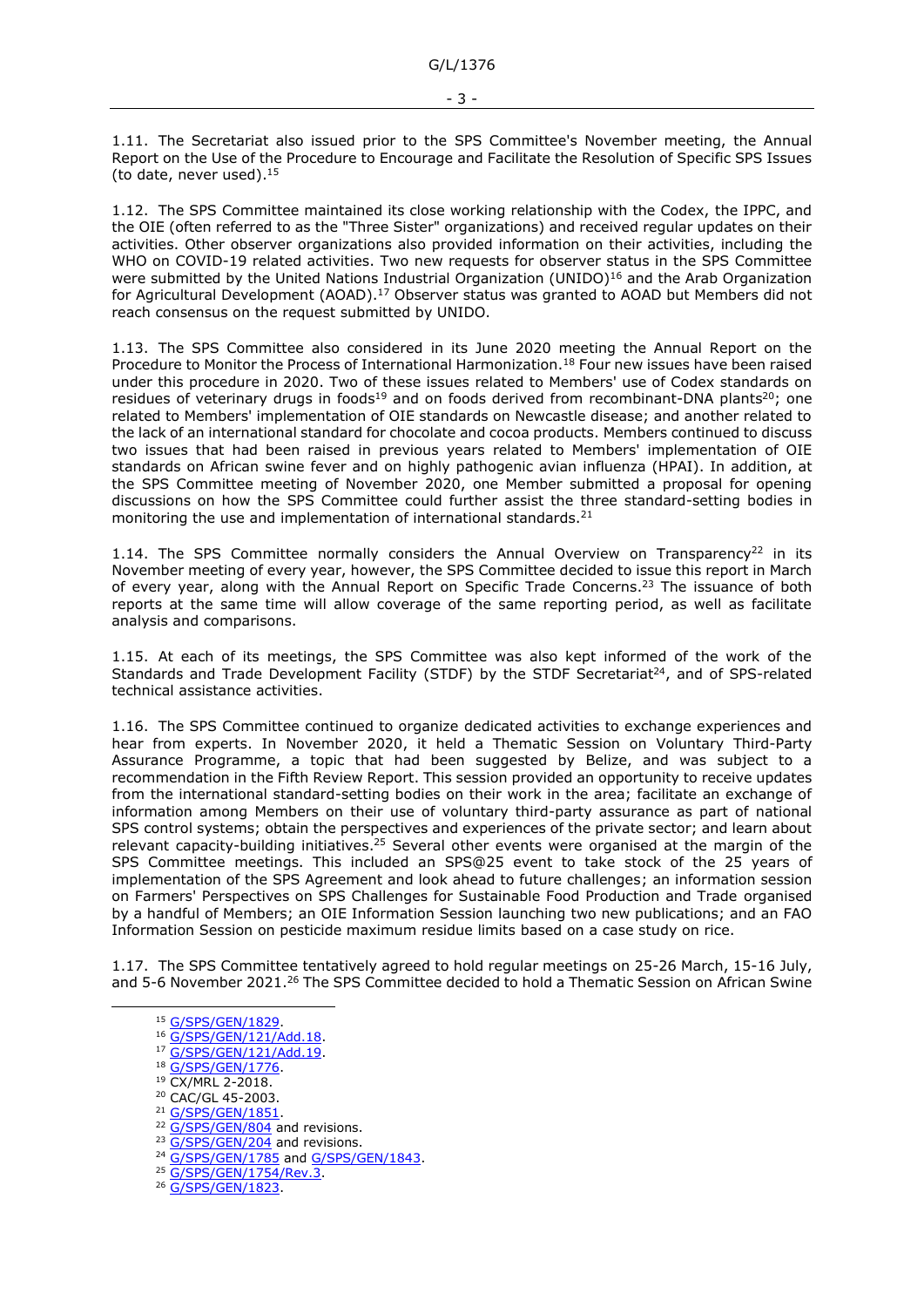1.11. The Secretariat also issued prior to the SPS Committee's November meeting, the Annual Report on the Use of the Procedure to Encourage and Facilitate the Resolution of Specific SPS Issues (to date, never used). 15

1.12. The SPS Committee maintained its close working relationship with the Codex, the IPPC, and the OIE (often referred to as the "Three Sister" organizations) and received regular updates on their activities. Other observer organizations also provided information on their activities, including the WHO on COVID-19 related activities. Two new requests for observer status in the SPS Committee were submitted by the United Nations Industrial Organization (UNIDO)<sup>16</sup> and the Arab Organization for Agricultural Development (AOAD).<sup>17</sup> Observer status was granted to AOAD but Members did not reach consensus on the request submitted by UNIDO.

1.13. The SPS Committee also considered in its June 2020 meeting the Annual Report on the Procedure to Monitor the Process of International Harmonization.<sup>18</sup> Four new issues have been raised under this procedure in 2020. Two of these issues related to Members' use of Codex standards on residues of veterinary drugs in foods<sup>19</sup> and on foods derived from recombinant-DNA plants<sup>20</sup>; one related to Members' implementation of OIE standards on Newcastle disease; and another related to the lack of an international standard for chocolate and cocoa products. Members continued to discuss two issues that had been raised in previous years related to Members' implementation of OIE standards on African swine fever and on highly pathogenic avian influenza (HPAI). In addition, at the SPS Committee meeting of November 2020, one Member submitted a proposal for opening discussions on how the SPS Committee could further assist the three standard-setting bodies in monitoring the use and implementation of international standards.<sup>21</sup>

1.14. The SPS Committee normally considers the Annual Overview on Transparency<sup>22</sup> in its November meeting of every year, however, the SPS Committee decided to issue this report in March of every year, along with the Annual Report on Specific Trade Concerns.<sup>23</sup> The issuance of both reports at the same time will allow coverage of the same reporting period, as well as facilitate analysis and comparisons.

1.15. At each of its meetings, the SPS Committee was also kept informed of the work of the Standards and Trade Development Facility (STDF) by the STDF Secretariat<sup>24</sup>, and of SPS-related technical assistance activities.

1.16. The SPS Committee continued to organize dedicated activities to exchange experiences and hear from experts. In November 2020, it held a Thematic Session on Voluntary Third-Party Assurance Programme, a topic that had been suggested by Belize, and was subject to a recommendation in the Fifth Review Report. This session provided an opportunity to receive updates from the international standard-setting bodies on their work in the area; facilitate an exchange of information among Members on their use of voluntary third-party assurance as part of national SPS control systems; obtain the perspectives and experiences of the private sector; and learn about relevant capacity-building initiatives.<sup>25</sup> Several other events were organised at the margin of the SPS Committee meetings. This included an SPS@25 event to take stock of the 25 years of implementation of the SPS Agreement and look ahead to future challenges; an information session on Farmers' Perspectives on SPS Challenges for Sustainable Food Production and Trade organised by a handful of Members; an OIE Information Session launching two new publications; and an FAO Information Session on pesticide maximum residue limits based on a case study on rice.

1.17. The SPS Committee tentatively agreed to hold regular meetings on 25-26 March, 15-16 July, and 5-6 November 2021.<sup>26</sup> The SPS Committee decided to hold a Thematic Session on African Swine

- <sup>16</sup> [G/SPS/GEN/121/Add.18.](https://docs.wto.org/dol2fe/Pages/FE_Search/FE_S_S006.aspx?DataSource=Cat&query=@Symbol=%22G/SPS/GEN/121/Add.18%22%20OR%20@Symbol=%22G/SPS/GEN/121/Add.18/*%22&Language=English&Context=ScriptedSearches&languageUIChanged=true)
- <sup>17</sup> [G/SPS/GEN/121/Add.19.](https://docs.wto.org/dol2fe/Pages/FE_Search/FE_S_S006.aspx?DataSource=Cat&query=@Symbol=%22G/SPS/GEN/121/Add.19%22%20OR%20@Symbol=%22G/SPS/GEN/121/Add.19/*%22&Language=English&Context=ScriptedSearches&languageUIChanged=true)
- 18 [G/SPS/GEN/1776.](https://docs.wto.org/dol2fe/Pages/FE_Search/FE_S_S006.aspx?DataSource=Cat&query=@Symbol=%22G/SPS/GEN/1776%22%20OR%20@Symbol=%22G/SPS/GEN/1776/*%22&Language=English&Context=ScriptedSearches&languageUIChanged=true)
- <sup>19</sup> CX/MRL 2-2018.
- <sup>20</sup> CAC/GL 45-2003.
- <sup>21</sup> G/SPS/GEN/1851
- <sup>22</sup> [G/SPS/GEN/804](https://docs.wto.org/dol2fe/Pages/FE_Search/FE_S_S006.aspx?DataSource=Cat&query=@Symbol=%22G/SPS/GEN/804%22%20OR%20@Symbol=%22G/SPS/GEN/804/*%22&Language=English&Context=ScriptedSearches&languageUIChanged=true) and revisions.
- <sup>23</sup> [G/SPS/GEN/204](https://docs.wto.org/dol2fe/Pages/FE_Search/FE_S_S006.aspx?DataSource=Cat&query=@Symbol=%22G/SPS/GEN/204%22%20OR%20@Symbol=%22G/SPS/GEN/204/*%22&Language=English&Context=ScriptedSearches&languageUIChanged=true) and revisions.
- <sup>24</sup> [G/SPS/GEN/1785](https://docs.wto.org/dol2fe/Pages/FE_Search/FE_S_S006.aspx?DataSource=Cat&query=@Symbol=%22G/SPS/GEN/1785%22%20OR%20@Symbol=%22G/SPS/GEN/1785/*%22&Language=English&Context=ScriptedSearches&languageUIChanged=true) and [G/SPS/GEN/1843.](https://docs.wto.org/dol2fe/Pages/FE_Search/FE_S_S006.aspx?DataSource=Cat&query=@Symbol=%22G/SPS/GEN/1843%22%20OR%20@Symbol=%22G/SPS/GEN/1843/*%22&Language=English&Context=ScriptedSearches&languageUIChanged=true)
- <sup>25</sup> [G/SPS/GEN/1754/Rev.3.](https://docs.wto.org/dol2fe/Pages/FE_Search/FE_S_S006.aspx?DataSource=Cat&query=@Symbol=%22G/SPS/GEN/1754/Rev.3%22%20OR%20@Symbol=%22G/SPS/GEN/1754/Rev.3/*%22&Language=English&Context=ScriptedSearches&languageUIChanged=true)
- <sup>26</sup> G/SPS/GEN/1823

<sup>&</sup>lt;sup>15</sup> [G/SPS/GEN/1829.](https://docs.wto.org/dol2fe/Pages/FE_Search/FE_S_S006.aspx?DataSource=Cat&query=@Symbol=%22G/SPS/GEN/1829%22%20OR%20@Symbol=%22G/SPS/GEN/1829/*%22&Language=English&Context=ScriptedSearches&languageUIChanged=true)